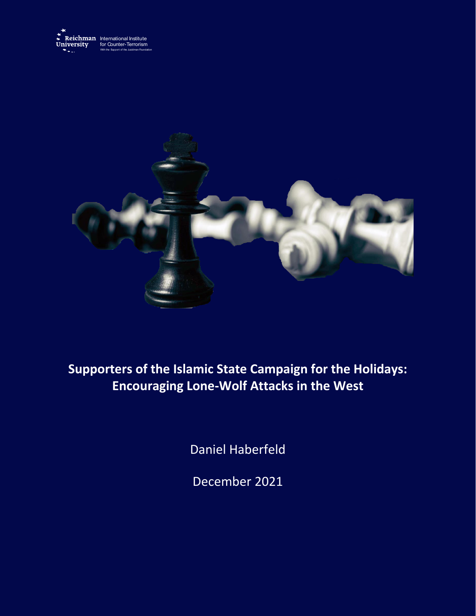



# **Supporters of the Islamic State Campaign for the Holidays: Encouraging Lone-Wolf Attacks in the West**

Daniel Haberfeld

December 2021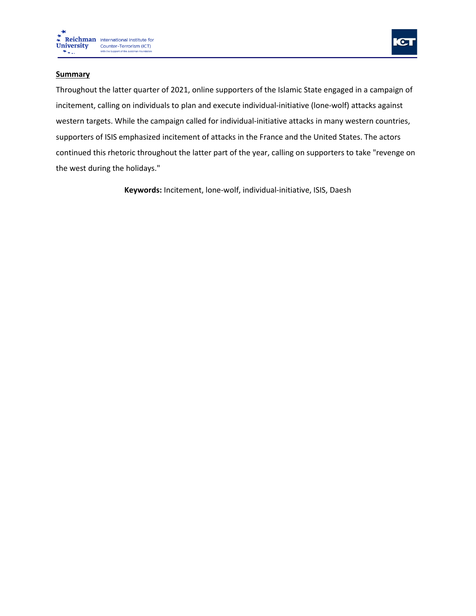



## **Summary**

Throughout the latter quarter of 2021, online supporters of the Islamic State engaged in a campaign of incitement, calling on individuals to plan and execute individual-initiative (lone-wolf) attacks against western targets. While the campaign called for individual-initiative attacks in many western countries, supporters of ISIS emphasized incitement of attacks in the France and the United States. The actors continued this rhetoric throughout the latter part of the year, calling on supporters to take "revenge on the west during the holidays."

**Keywords:** Incitement, lone-wolf, individual-initiative, ISIS, Daesh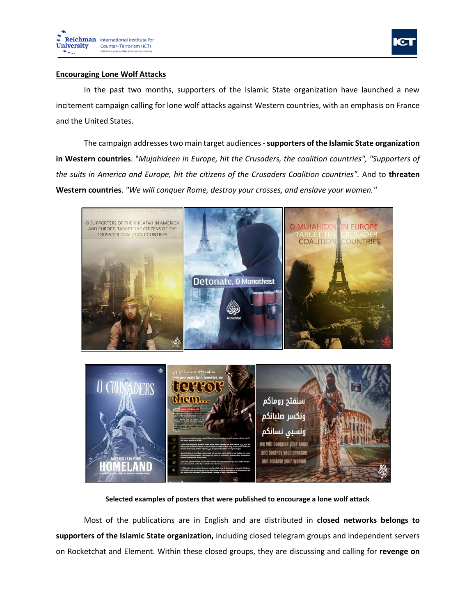



#### **Encouraging Lone Wolf Attacks**

In the past two months, supporters of the Islamic State organization have launched a new incitement campaign calling for lone wolf attacks against Western countries, with an emphasis on France and the United States.

The campaign addresses two main target audiences -**supporters of the Islamic State organization in Western countries**. "*Mujahideen in Europe, hit the Crusaders, the coalition countries", "Supporters of the suits in America and Europe, hit the citizens of the Crusaders Coalition countries".* And to **threaten Western countries**. *"We will conquer Rome, destroy your crosses, and enslave your women."*



#### **Selected examples of posters that were published to encourage a lone wolf attack**

Most of the publications are in English and are distributed in **closed networks belongs to supporters of the Islamic State organization,** including closed telegram groups and independent servers on Rocketchat and Element. Within these closed groups, they are discussing and calling for **revenge on**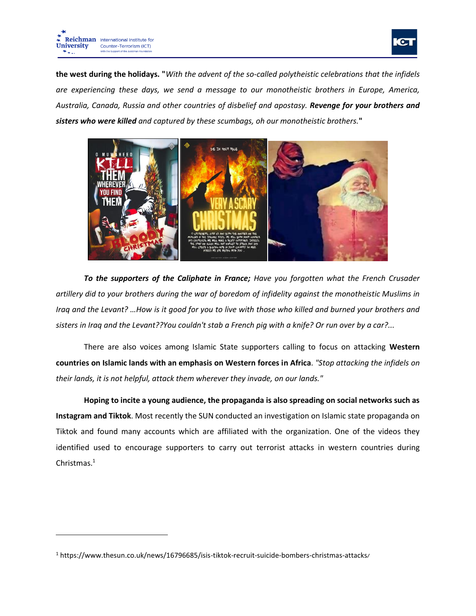



**the west during the holidays. "***With the advent of the so-called polytheistic celebrations that the infidels are experiencing these days, we send a message to our monotheistic brothers in Europe, America, Australia, Canada, Russia and other countries of disbelief and apostasy. Revenge for your brothers and sisters who were killed and captured by these scumbags, oh our monotheistic brothers.***"**



*To the supporters of the Caliphate in France; Have you forgotten what the French Crusader artillery did to your brothers during the war of boredom of infidelity against the monotheistic Muslims in Iraq and the Levant? …How is it good for you to live with those who killed and burned your brothers and sisters in Iraq and the Levant??You couldn't stab a French pig with a knife? Or run over by a car?...*

There are also voices among Islamic State supporters calling to focus on attacking **Western countries on Islamic lands with an emphasis on Western forces in Africa**. *"Stop attacking the infidels on their lands, it is not helpful, attack them wherever they invade, on our lands."*

**Hoping to incite a young audience, the propaganda is also spreading on social networks such as Instagram and Tiktok**. Most recently the SUN conducted an investigation on Islamic state propaganda on Tiktok and found many accounts which are affiliated with the organization. One of the videos they identified used to encourage supporters to carry out terrorist attacks in western countries during Christmas.<sup>1</sup>

<sup>1</sup> https://www.thesun.co.uk/news/16796685/isis-tiktok-recruit-suicide-bombers-christmas-attacks /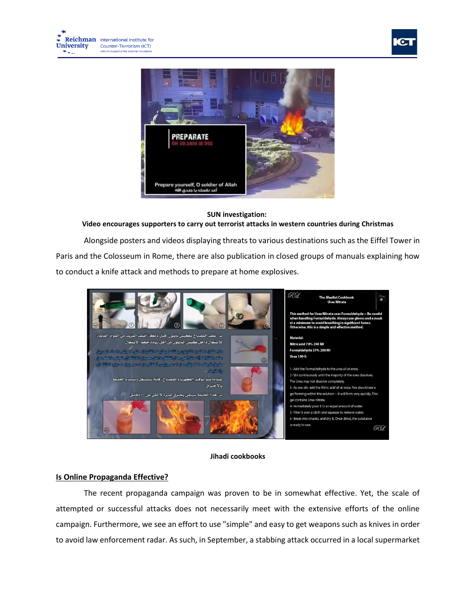



#### **SUN investigation:**

## **Video encourages supporters to carry out terrorist attacks in western countries during Christmas**

Alongside posters and videos displaying threats to various destinations such as the Eiffel Tower in Paris and the Colosseum in Rome, there are also publication in closed groups of manuals explaining how to conduct a knife attack and methods to prepare at home explosives.



### **Jihadi cookbooks**

# **Is Online Propaganda Effective?**

The recent propaganda campaign was proven to be in somewhat effective. Yet, the scale of attempted or successful attacks does not necessarily meet with the extensive efforts of the online campaign. Furthermore, we see an effort to use "simple" and easy to get weapons such as knives in order to avoid law enforcement radar. As such, in September, a stabbing attack occurred in a local supermarket